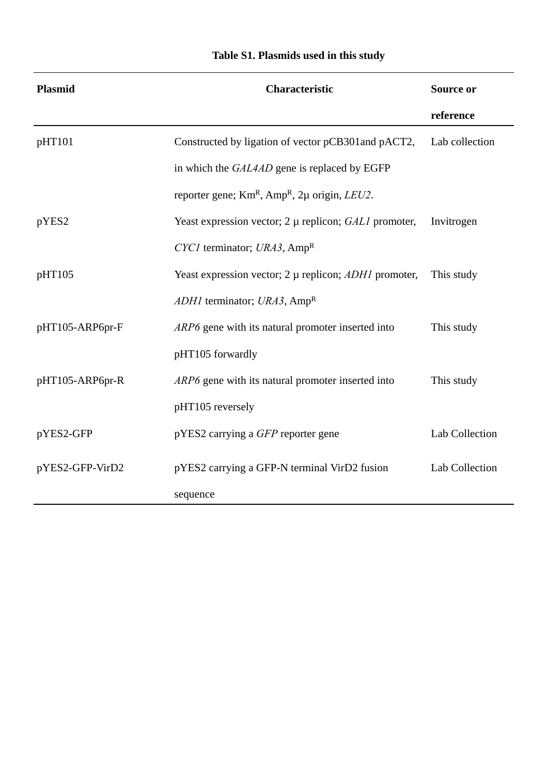| <b>Plasmid</b>  | <b>Characteristic</b>                                              | Source or      |
|-----------------|--------------------------------------------------------------------|----------------|
|                 |                                                                    | reference      |
| pHT101          | Constructed by ligation of vector pCB301 and pACT2,                | Lab collection |
|                 | in which the GAL4AD gene is replaced by EGFP                       |                |
|                 | reporter gene; $KmR$ , Amp <sup>R</sup> , 2µ origin, <i>LEU2</i> . |                |
| pYES2           | Yeast expression vector; $2 \mu$ replicon; $GALI$ promoter,        | Invitrogen     |
|                 | $CYCI$ terminator; $URA3$ , Amp <sup>R</sup>                       |                |
| pHT105          | Yeast expression vector; $2 \mu$ replicon; $ADH1$ promoter,        | This study     |
|                 | <i>ADH1</i> terminator; <i>URA3</i> , $Amp^R$                      |                |
| pHT105-ARP6pr-F | ARP6 gene with its natural promoter inserted into                  | This study     |
|                 | pHT105 forwardly                                                   |                |
| pHT105-ARP6pr-R | ARP6 gene with its natural promoter inserted into                  | This study     |
|                 | pHT105 reversely                                                   |                |
| pYES2-GFP       | pYES2 carrying a GFP reporter gene                                 | Lab Collection |
| pYES2-GFP-VirD2 | pYES2 carrying a GFP-N terminal VirD2 fusion                       | Lab Collection |
|                 | sequence                                                           |                |

## **Table S1. Plasmids used in this study**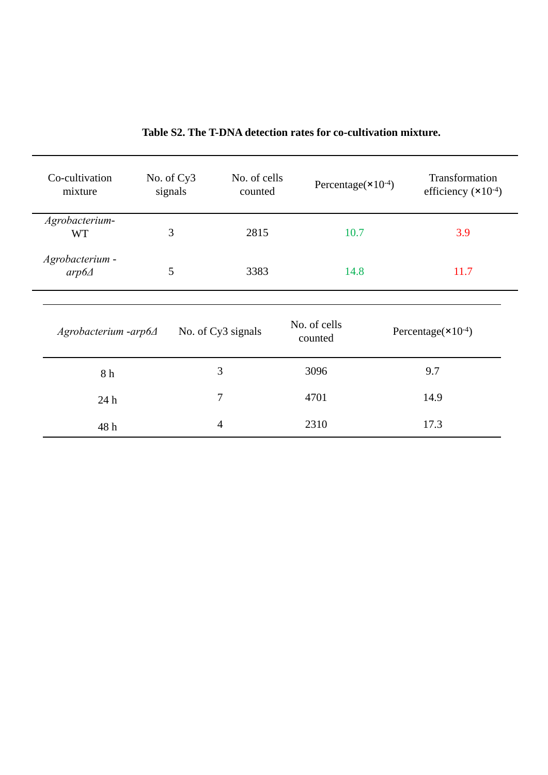| Co-cultivation<br>mixture       | No. of Cy3<br>signals | No. of cells<br>counted | Percentage $(\times 10^{-4})$ | Transformation<br>efficiency $(\times 10^{-4})$ |
|---------------------------------|-----------------------|-------------------------|-------------------------------|-------------------------------------------------|
| Agrobacterium-<br><b>WT</b>     | 3                     | 2815                    | 10.7                          | 3.9                                             |
| Agrobacterium -<br>$arp6\Delta$ | 5                     | 3383                    | 14.8                          | 11.7                                            |
| $A$ grobacterium -arp $6\Delta$ |                       | No. of Cy3 signals      | No. of cells<br>counted       | Percentage( $\times 10^{-4}$ )                  |
| 8 h                             |                       | 3                       | 3096                          | 9.7                                             |
| 24h                             |                       | 7                       | 4701                          | 14.9                                            |
| 48 h                            |                       | $\overline{4}$          | 2310                          | 17.3                                            |

## **Table S2. The T-DNA detection rates for co-cultivation mixture.**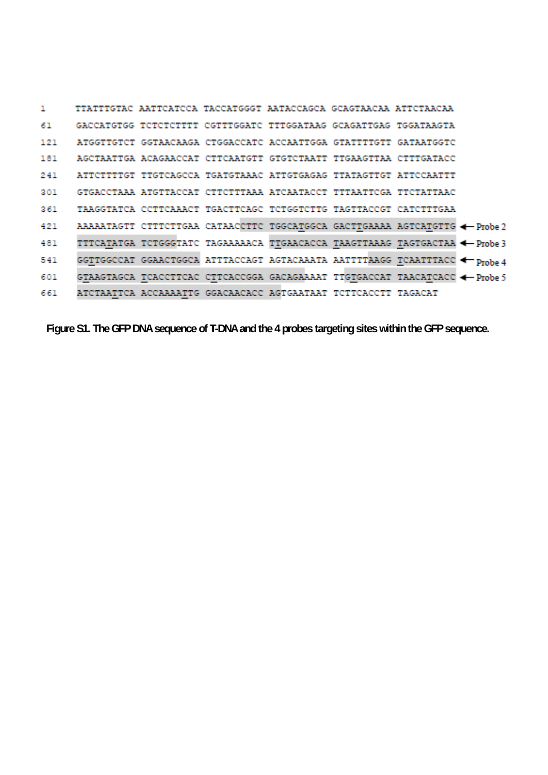```
TTATTTGTAC AATTCATCCA TACCATGGGT AATACCAGCA GCAGTAACAA ATTCTAACAA
\mathbf{1}GACCATGTGG TCTCTCTTTT CGTTTGGATC TTTGGATAAG GCAGATTGAG TGGATAAGTA
61
121 ATGGTTGTCT GGTAACAAGA CTGGACCATC ACCAATTGGA GTATTTTGTT GATAATGGTC
181 AGCTAATTGA ACAGAACCAT CTTCAATGTT GTGTCTAATT TTGAAGTTAA CTTTGATACC
    ATTCTTTTGT TTGTCAGCCA TGATGTAAAC ATTGTGAGAG TTATAGTTGT ATTCCAATTT
241
301 GTGACCTAAA ATGTTACCAT CTTCTTTAAA ATCAATACCT TTTAATTCGA TTCTATTAAC
    TAAGGTATCA CCTTCAAACT TGACTTCAGC TCTGGTCTTG TAGTTACCGT CATCTTTGAA
361421
     TTTCATATGA TCTGGGTATC TAGAAAAACA TTGAACACCA TAAGTTAAAG TAGTGACTAA <- Probe 3
481
     GGTTGGCCAT GGAACTGGCA ATTTACCAGT AGTACAAATA AATTTTAAGG TCAATTTACC <>>
TProbe4
541
601
     GTAAGTAGCA TCACCTTCAC CTTCACCGGA GACAGAAAAT TTGTGACCAT TAACATCACC <- Probe 5
     ATCTAATTCA ACCAAAATTG GGACAACACC AGTGAATAAT TCTTCACCTT TAGACAT
661
```
**Figure S1. The GFP DNA sequence of T-DNA and the 4 probes targeting sites within the GFP sequence.**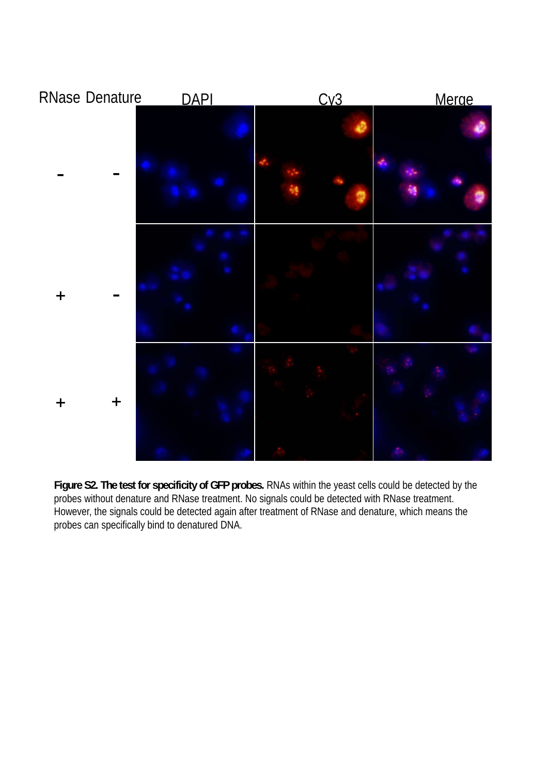

**Figure S2. The test for specificity of GFP probes.** RNAs within the yeast cells could be detected by the probes without denature and RNase treatment. No signals could be detected with RNase treatment. However, the signals could be detected again after treatment of RNase and denature, which means the probes can specifically bind to denatured DNA.